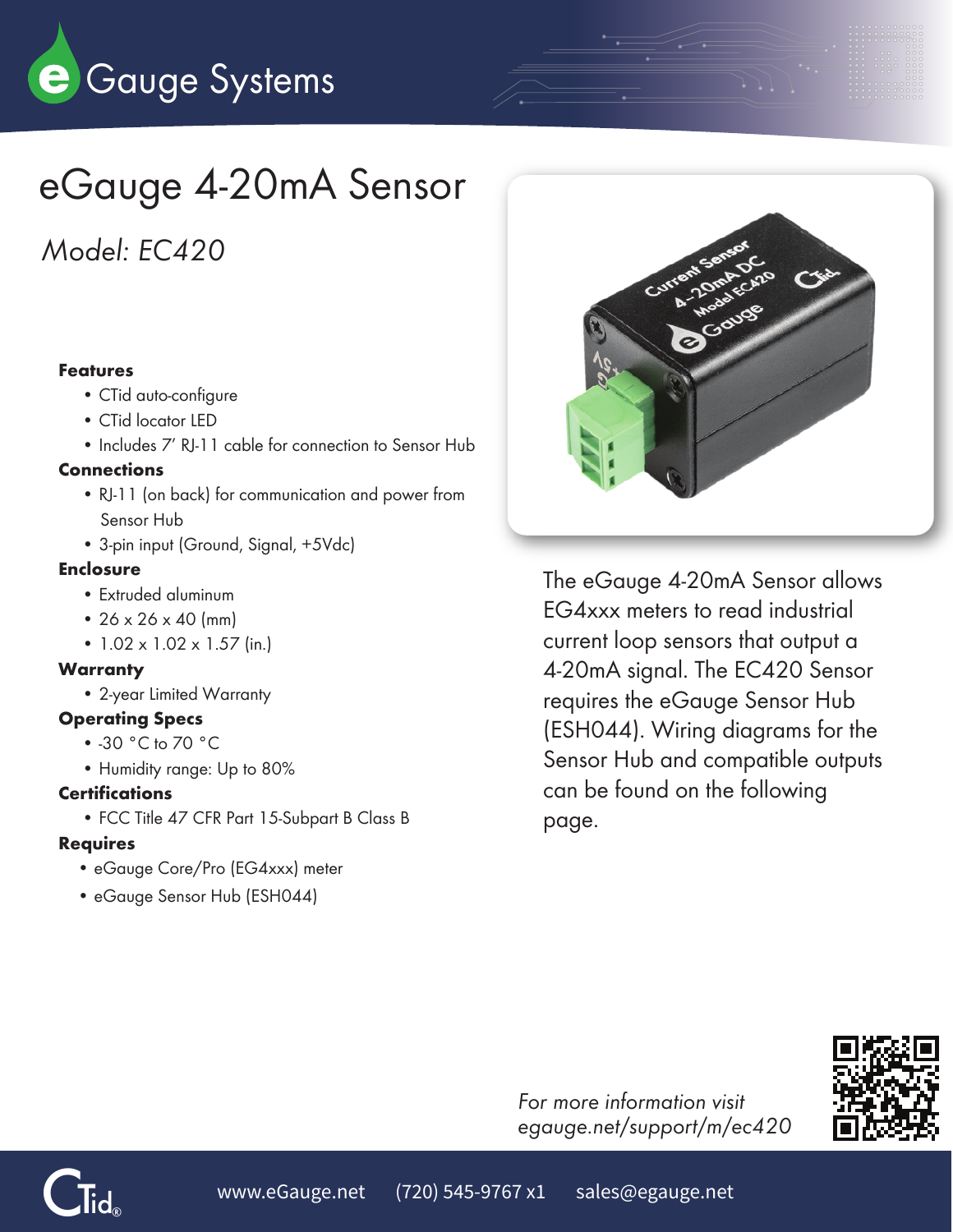

# eGauge 4-20mA Sensor

*Model: EC420*

#### Features

- CTid auto-configure
- CTid locator LED
- Includes 7' RJ-11 cable for connection to Sensor Hub

### **Connections**

- RJ-11 (on back) for communication and power from Sensor Hub
- 3-pin input (Ground, Signal, +5Vdc)

### **Enclosure**

- Extruded aluminum
- $26 \times 26 \times 40$  (mm)
- 1.02 x 1.02 x 1.57 (in.)

#### **Warranty**

• 2-year Limited Warranty

## Operating Specs

- -30 °C to 70 °C
- Humidity range: Up to 80%

#### **Certifications**

• FCC Title 47 CFR Part 15-Subpart B Class B

## Requires

- eGauge Core/Pro (EG4xxx) meter
- eGauge Sensor Hub (ESH044)



The eGauge 4-20mA Sensor allows EG4xxx meters to read industrial current loop sensors that output a 4-20mA signal. The EC420 Sensor requires the eGauge Sensor Hub (ESH044). Wiring diagrams for the Sensor Hub and compatible outputs can be found on the following page.



*For more information visit egauge.net/support/m/ec420*